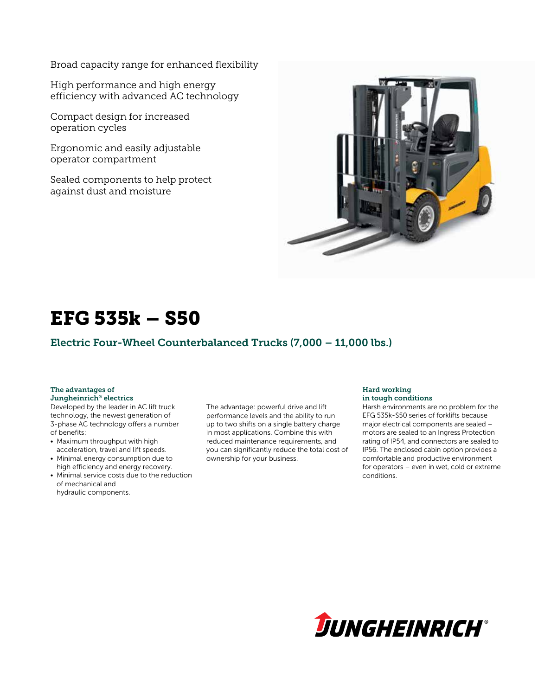Broad capacity range for enhanced flexibility

High performance and high energy efficiency with advanced AC technology

Compact design for increased operation cycles

Ergonomic and easily adjustable operator compartment

Sealed components to help protect against dust and moisture



## EFG 535k – S50

### Electric Four-Wheel Counterbalanced Trucks (7,000 – 11,000 lbs.)

#### The advantages of Jungheinrich® electrics

Developed by the leader in AC lift truck technology, the newest generation of 3-phase AC technology offers a number of benefits:

- Maximum throughput with high acceleration, travel and lift speeds.
- Minimal energy consumption due to high efficiency and energy recovery.
- Minimal service costs due to the reduction of mechanical and

hydraulic components.

The advantage: powerful drive and lift performance levels and the ability to run up to two shifts on a single battery charge in most applications. Combine this with reduced maintenance requirements, and you can significantly reduce the total cost of ownership for your business.

#### Hard working in tough conditions

Harsh environments are no problem for the EFG 535k-S50 series of forklifts because major electrical components are sealed – motors are sealed to an Ingress Protection rating of IP54, and connectors are sealed to IP56. The enclosed cabin option provides a comfortable and productive environment for operators – even in wet, cold or extreme conditions.

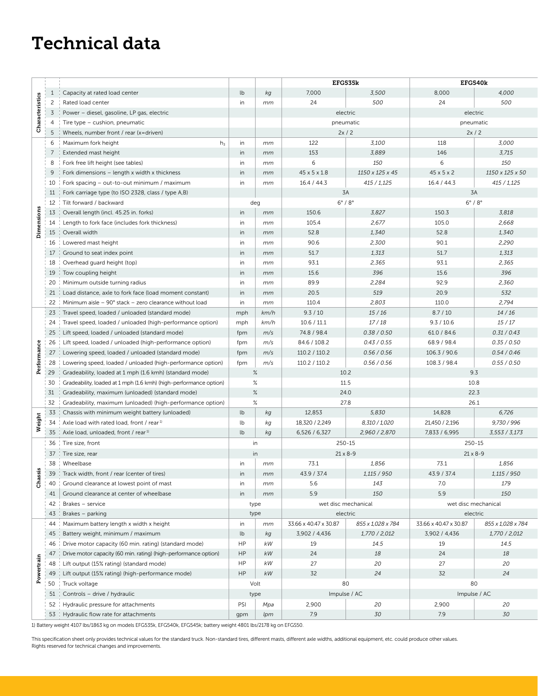### ${\bf Technical\ data} \hspace{24pt}$

|                 |                |                                                                       |               |      | EFG535k                  |                   | EFG540k                |                   |  |
|-----------------|----------------|-----------------------------------------------------------------------|---------------|------|--------------------------|-------------------|------------------------|-------------------|--|
| Characteristics | 1              | Capacity at rated load center                                         | lb            | kg   | 7,000                    | 3,500             | 8,000                  | 4,000             |  |
|                 | $\overline{c}$ | Rated load center                                                     | in            | mm   | 24                       | 500               | 24                     | 500               |  |
|                 | $\overline{3}$ | Power - diesel, gasoline, LP gas, electric                            |               |      | electric                 |                   | electric               |                   |  |
|                 | 4              | Tire type – cushion, pneumatic                                        |               |      | pneumatic                |                   | pneumatic              |                   |  |
|                 | 5              | Wheels, number front / rear (x=driven)                                |               |      | 2x/2                     |                   | 2x/2                   |                   |  |
|                 | 6              | Maximum fork height<br>h <sub>3</sub>                                 | in            | mm   | 122                      | 3,100             | 118                    | 3,000             |  |
|                 | 7              | Extended mast height                                                  | in            | mm   | 153                      | 3,889             | 146                    | 3,715             |  |
|                 |                | 8 Fork free lift height (see tables)                                  | in            | mm   | 6                        | 150               | 6                      | 150               |  |
|                 | 9              | Fork dimensions $-$ length x width x thickness                        | in            | mm   | $45 \times 5 \times 1.8$ | 1150 x 125 x 45   | $45 \times 5 \times 2$ | 1150 x 125 x 50   |  |
|                 |                | 10 Fork spacing – out-to-out minimum / maximum                        | in            | mm   | 16.4 / 44.3              | 415/1,125         | 16.4 / 44.3            | 415/1,125         |  |
|                 |                | 11 Fork carriage type (to ISO 2328, class / type A,B)                 |               |      | 3A                       |                   | 3A                     |                   |  |
|                 |                | 12   Tilt forward / backward                                          | deg           |      | $6^\circ/8^\circ$        |                   | $6^\circ/8^\circ$      |                   |  |
| ensions         |                | 13   Overall length (incl. 45.25 in. forks)                           | in            | mm   | 150.6                    | 3,827             | 150.3                  | 3,818             |  |
|                 |                | 14   Length to fork face (includes fork thickness)                    | in            | mm   | 105.4                    | 2,677             | 105.0                  | 2,668             |  |
| nin<br>Dim      |                | 15   Overall width                                                    | in            | mm   | 52.8                     | 1,340             | 52.8                   | 1,340             |  |
|                 |                | 16 Lowered mast height                                                | in            | mm   | 90.6                     | 2,300             | 90.1                   | 2,290             |  |
|                 |                | 17 Ground to seat index point                                         | in            | mm   | 51.7                     | 1,313             | 51.7                   | 1,313             |  |
|                 |                | 18   Overhead guard height (top)                                      | in            | mm   | 93.1                     | 2,365             | 93.1                   | 2,365             |  |
|                 |                | 19 Tow coupling height                                                | in            | mm   | 15.6                     | 396               | 15.6                   | 396               |  |
|                 | 20             | Minimum outside turning radius                                        | in            | mm   | 89.9                     | 2,284             | 92.9                   | 2,360             |  |
|                 |                | 21   Load distance, axle to fork face (load moment constant)          | in            | mm   | 20.5                     | 519               | 20.9                   | 532               |  |
|                 |                | 22   Minimum aisle – $90^{\circ}$ stack – zero clearance without load | in            | mm   | 110.4                    | 2,803             | 110.0                  | 2,794             |  |
|                 |                | 23   Travel speed, loaded / unloaded (standard mode)                  | mph           | km/h | 9.3 / 10                 | 15/16             | 8.7/10                 | 14/16             |  |
| mance           |                | 24 Travel speed, loaded / unloaded (high-performance option)          | mph           | km/h | 10.6 / 11.1              | $17/18$           | 9.3 / 10.6             | 15/17             |  |
|                 |                | 25   Lift speed, loaded / unloaded (standard mode)                    | fpm           | m/s  | 74.8 / 98.4              | 0.38 / 0.50       | 61.0 / 84.6            | 0.31 / 0.43       |  |
|                 | 26             | Lift speed, loaded / unloaded (high-performance option)               | fpm           | m/s  | 84.6 / 108.2             | 0.43 / 0.55       | 68.9 / 98.4            | 0.35 / 0.50       |  |
|                 |                | 27 Lowering speed, loaded / unloaded (standard mode)                  | fpm           | m/s  | 110.2 / 110.2            | 0.56 / 0.56       | 106.3 / 90.6           | 0.54/0.46         |  |
| Ĕ               | 28             | Lowering speed, loaded / unloaded (high-performance option)           | fpm           | m/s  | 110.2 / 110.2            | 0.56 / 0.56       | 108.3 / 98.4           | 0.55 / 0.50       |  |
| ዺ               | 29             | Gradeability, loaded at 1 mph (1.6 kmh) (standard mode)               | $\%$          |      | 10.2                     |                   | 9.3                    |                   |  |
|                 | 30             | Gradeability, loaded at 1 mph (1.6 kmh) (high-performance option)     | $\%$<br>11.5  |      |                          |                   | 10.8                   |                   |  |
|                 | 31             | Gradeability, maximum (unloaded) (standard mode)                      | $\%$          |      | 24.0                     |                   | 22.3                   |                   |  |
|                 | 32             | Gradeability, maximum (unloaded) (high-performance option)            | $\%$          |      | 27.8                     |                   | 26.1                   |                   |  |
|                 |                | 33 Chassis with minimum weight battery (unloaded)                     | $\mathsf{lb}$ | kg   | 12,853                   | 5,830             | 14,828                 | 6,726             |  |
| Weight          |                | 34   Axle load with rated load, front / rear <sup>1)</sup>            | lb            | kg   | 18,320 / 2,249           | 8,310 / 1,020     | 21,450 / 2,196         | 9,730 / 996       |  |
|                 |                | 35   Axle load, unloaded, front / rear <sup>1)</sup>                  | lb            | kg   | 6,526/6,327              | 2,960 / 2,870     | 7,833 / 6,995          | 3,553 / 3,173     |  |
|                 |                | 36 Tire size, front                                                   | in            |      | 250-15                   |                   | 250-15                 |                   |  |
|                 |                | 37 Tire size, rear                                                    | -in           |      | $21 \times 8 - 9$        |                   | $21 \times 8 - 9$      |                   |  |
|                 |                | 38   Wheelbase                                                        | in            | mm   | 73.1                     | 1,856             | 73.1                   | 1,856             |  |
| Chassis         |                | 39 Track width, front / rear (center of tires)                        |               | mm   | 43.9 / 37.4              | 1,115 / 950       | 43.9 / 37.4            | 1,115 / 950       |  |
|                 |                | 40 Ground clearance at lowest point of mast                           | in            | mm   | 5.6                      | 143               | 7.0                    | 179               |  |
|                 | 41             | Ground clearance at center of wheelbase                               | in            | mm   | 5.9                      | 150               | 5.9                    | 150               |  |
|                 |                | $42$   Brakes - service                                               | type          |      | wet disc mechanical      |                   | wet disc mechanical    |                   |  |
|                 |                | $43$   Brakes – parking                                               | type          |      | electric                 |                   | electric               |                   |  |
|                 |                | 44   Maximum battery length x width x height                          | in            | mm   | 33.66 x 40.47 x 30.87    | 855 x 1,028 x 784 | 33.66 x 40.47 x 30.87  | 855 x 1,028 x 784 |  |
|                 |                | 45   Battery weight, minimum / maximum                                | lb            | kg   | 3,902 / 4,436            | 1,770 / 2,012     | 3,902 / 4,436          | 1,770 / 2,012     |  |
|                 |                | 46   Drive motor capacity (60 min. rating) (standard mode)            | HP            | kW   | 19                       | 14.5              | 19                     | 14.5              |  |
|                 |                | 47   Drive motor capacity (60 min. rating) (high-performance option)  | <b>HP</b>     | kW   | 24                       | 18                | 24                     | 18                |  |
| Powertrain      |                | 48   Lift output (15% rating) (standard mode)                         | <b>HP</b>     | kW   | 27                       | 20                | 27                     | 20                |  |
|                 |                | 49   Lift output (15% rating) (high-performance mode)                 | <b>HP</b>     | kW   | 32                       | 24                | 32                     | 24                |  |
|                 |                | 50 Truck voltage                                                      | Volt          |      | 80                       |                   | 80                     |                   |  |
|                 |                | 51   Controls - drive / hydraulic                                     |               | type |                          | Impulse / AC      | Impulse / AC           |                   |  |
|                 |                | 52 Hydraulic pressure for attachments                                 | PSI           | Mpa  | 2,900                    | 20                | 2,900                  | 20                |  |
|                 |                | 53 Hydraulic flow rate for attachments                                | gpm           | lpm  | 7.9                      | 30                | 7.9                    | 30                |  |

1) Battery weight 4107 lbs/1863 kg on models EFG535k, EFG540k, EFG545k; battery weight 4801 lbs/2178 kg on EFGS50.

This specification sheet only provides technical values for the standard truck. Non-standard tires, different masts, different axle widths, additional equipment, etc. could produce other values. Rights reserved for technical changes and improvements.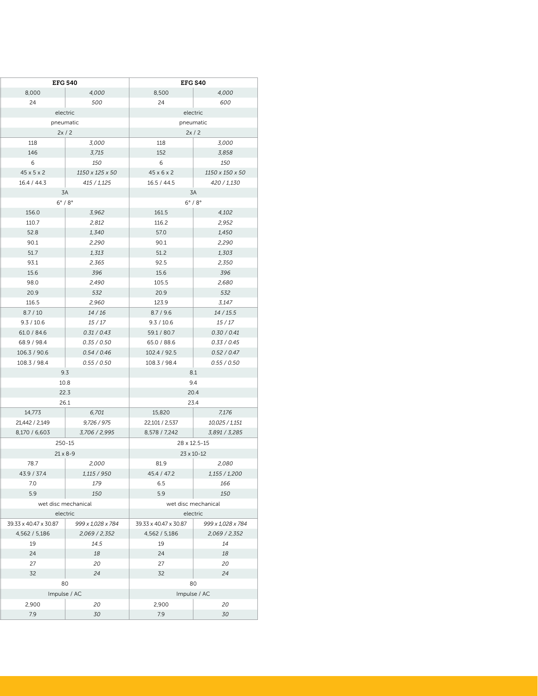|                        | <b>EFG 540</b>                  |                        | <b>EFG S40</b>                  |  |  |
|------------------------|---------------------------------|------------------------|---------------------------------|--|--|
| 8,000                  | 4,000                           | 8,500                  | 4,000                           |  |  |
| 24                     | 500                             | 24                     | 600                             |  |  |
|                        | electric<br>pneumatic<br>2x/2   |                        | electric                        |  |  |
|                        |                                 |                        | pneumatic                       |  |  |
|                        |                                 |                        | 2x/2                            |  |  |
| 118                    | 3,000                           | 118                    | 3,000                           |  |  |
| 146                    | 3,715                           | 152                    | 3,858                           |  |  |
| 6                      | 150                             | 6                      | 150                             |  |  |
| $45 \times 5 \times 2$ | 1150 x 125 x 50                 | $45 \times 6 \times 2$ | 1150 x 150 x 50                 |  |  |
| 16.4 / 44.3            | 415 / 1,125                     | 16.5 / 44.5            | 420 / 1,130                     |  |  |
|                        | 3A<br>$6^{\circ}$ / $8^{\circ}$ |                        | 3A                              |  |  |
|                        |                                 |                        | $6^{\circ}$ / $8^{\circ}$       |  |  |
| 156.0                  | 3,962                           | 161.5                  | 4,102                           |  |  |
| 110.7                  | 2,812                           | 116.2                  | 2,952                           |  |  |
| 52.8                   | 1,340                           | 57.0                   | 1,450                           |  |  |
| 90.1                   | 2,290                           | 90.1                   | 2,290                           |  |  |
| 51.7                   | 1,313                           | 51.2                   | 1,303                           |  |  |
| 93.1                   | 2,365                           | 92.5                   | 2,350                           |  |  |
| 15.6                   | 396                             | 15.6                   | 396                             |  |  |
| 98.0                   | 2,490                           | 105.5                  | 2,680                           |  |  |
| 20.9                   | 532                             | 20.9                   | 532                             |  |  |
| 116.5                  | 2,960                           | 123.9                  | 3,147                           |  |  |
| 8.7/10                 | 14/16                           | 8.7 / 9.6              | 14/15.5                         |  |  |
| 9.3 / 10.6             | 15/17                           | 9.3 / 10.6             | $15/17$                         |  |  |
| 61.0 / 84.6            | 0.31 / 0.43                     | 59.1 / 80.7            | 0.30 / 0.41                     |  |  |
| 68.9 / 98.4            | 0.35 / 0.50                     | 65.0 / 88.6            | 0.33 / 0.45                     |  |  |
| 106.3 / 90.6           | 0.54 / 0.46                     | 102.4 / 92.5           | 0.52 / 0.47                     |  |  |
| 108.3 / 98.4           | 0.55 / 0.50                     | 108.3 / 98.4           | 0.55 / 0.50                     |  |  |
|                        | 9.3                             |                        | 8.1                             |  |  |
|                        | 10.8                            |                        | 9.4                             |  |  |
|                        | 22.3                            |                        | 20.4                            |  |  |
|                        | 26.1                            |                        | 23.4                            |  |  |
| 14,773                 | 6,701                           | 15,820                 | 7,176                           |  |  |
| 21,442 / 2,149         | 9,726 / 975                     | 22,101 / 2,537         | 10,025 / 1,151                  |  |  |
| 8,170 / 6,603          | 3,706 / 2,995                   | 8,578 / 7,242          | 3,891 / 3,285                   |  |  |
|                        | $250 - 15$                      |                        | 28 x 12.5-15                    |  |  |
|                        | $21 \times 8 - 9$               |                        | $23 \times 10 - 12$             |  |  |
| 78.7                   | 2,000                           | 81.9                   | 2,080                           |  |  |
| 43.9 / 37.4            | 1,115 / 950                     | 45.4 / 47.2            | 1,155 / 1,200                   |  |  |
| 7.0<br>5.9             | 179<br>150                      | 6.5<br>5.9             | 166<br>150                      |  |  |
|                        |                                 |                        |                                 |  |  |
|                        | wet disc mechanical<br>electric |                        | wet disc mechanical<br>electric |  |  |
| 39.33 x 40.47 x 30.87  | 999 x 1,028 x 784               | 39.33 x 40.47 x 30.87  | 999 x 1,028 x 784               |  |  |
| 4,562 / 5,186          | 2,069 / 2,352                   | 4,562 / 5,186          | 2,069 / 2,352                   |  |  |
| 19                     | 14.5                            | 19                     | 14                              |  |  |
| 24                     | 18                              | 24                     | 18                              |  |  |
| 27                     | 20                              | 27                     | 20                              |  |  |
| 32                     | 24                              | 32                     | 24                              |  |  |
|                        | 80                              |                        | 80                              |  |  |
|                        | Impulse / AC                    |                        | Impulse / AC                    |  |  |
| 2,900                  | 20                              | 2,900                  | 20                              |  |  |
| 7.9                    | 30                              | 7.9                    | 30                              |  |  |
|                        |                                 |                        |                                 |  |  |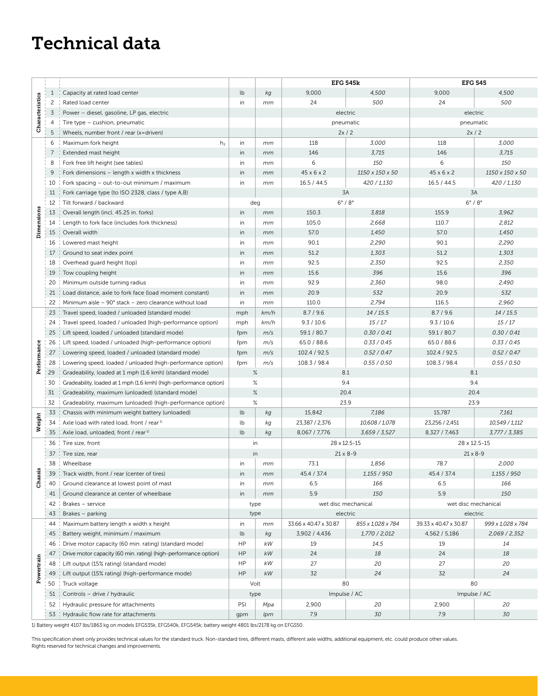### ${\bf Technical\ data} \hspace{24pt}$

|                 |                |                                                                       |               |      | <b>EFG 545k</b>        |                   |                        | <b>EFG 545</b>    |
|-----------------|----------------|-----------------------------------------------------------------------|---------------|------|------------------------|-------------------|------------------------|-------------------|
| Characteristics | 1              | Capacity at rated load center                                         | lb            | kg   | 9,000                  | 4,500             | 9,000                  | 4,500             |
|                 | $\overline{c}$ | Rated load center                                                     | in            | mm   | 24                     | 500               | 24                     | 500               |
|                 | $\overline{3}$ | Power - diesel, gasoline, LP gas, electric                            |               |      | electric               |                   | electric               |                   |
|                 | 4              | Tire type $-$ cushion, pneumatic                                      |               |      | pneumatic              |                   |                        | pneumatic         |
|                 | 5              | Wheels, number front / rear (x=driven)                                |               |      | 2x/2                   |                   |                        | 2x/2              |
|                 | 6              | Maximum fork height<br>h <sub>3</sub>                                 | in            | mm   | 118                    | 3,000             | 118                    | 3,000             |
|                 | 7              | Extended mast height                                                  | in            | mm   | 146                    | 3,715             | 146                    | 3,715             |
|                 |                | 8 Fork free lift height (see tables)                                  | in            | mm   | 6                      | 150               | 6                      | 150               |
|                 | 9              | Fork dimensions $-$ length x width x thickness                        | in            | mm   | $45 \times 6 \times 2$ | 1150 x 150 x 50   | $45 \times 6 \times 2$ | 1150 x 150 x 50   |
|                 |                | 10 Fork spacing – out-to-out minimum / maximum                        | in            | mm   | 16.5 / 44.5            | 420 / 1,130       | 16.5 / 44.5            | 420 / 1,130       |
|                 |                | 11 Fork carriage type (to ISO 2328, class / type A,B)                 |               |      | 3A                     |                   | 3A                     |                   |
|                 |                | 12   Tilt forward / backward                                          | deg           |      | $6^\circ/8^\circ$      |                   | $6^\circ/8^\circ$      |                   |
|                 |                | 13   Overall length (incl. 45.25 in. forks)                           | in            | mm   | 150.3                  | 3,818             | 155.9                  | 3,962             |
| ensions         |                | 14   Length to fork face (includes fork thickness)                    | in            | mm   | 105.0                  | 2,668             | 110.7                  | 2,812             |
| Dim             |                | 15   Overall width                                                    | in            | mm   | 57.0                   | 1,450             | 57.0                   | 1,450             |
|                 |                | 16 Lowered mast height                                                | in            | mm   | 90.1                   | 2,290             | 90.1                   | 2,290             |
|                 |                | 17 Ground to seat index point                                         | in            | mm   | 51.2                   | 1,303             | 51.2                   | 1,303             |
|                 |                | 18   Overhead guard height (top)                                      | in            | mm   | 92.5                   | 2,350             | 92.5                   | 2,350             |
|                 |                | 19 Tow coupling height                                                | in            | mm   | 15.6                   | 396               | 15.6                   | 396               |
|                 | 20             | Minimum outside turning radius                                        | in            | mm   | 92.9                   | 2,360             | 98.0                   | 2,490             |
|                 |                | 21   Load distance, axle to fork face (load moment constant)          | in            | mm   | 20.9                   | 532               | 20.9                   | 532               |
|                 |                | 22   Minimum aisle – $90^{\circ}$ stack – zero clearance without load | in            | mm   | 110.0                  | 2,794             | 116.5                  | 2,960             |
|                 |                | 23   Travel speed, loaded / unloaded (standard mode)                  | mph           | km/h | 8.7 / 9.6              | 14/15.5           | 8.7 / 9.6              | 14/15.5           |
| mance           |                | 24 Travel speed, loaded / unloaded (high-performance option)          | mph           | km/h | 9.3 / 10.6             | 15/17             | 9.3 / 10.6             | 15/17             |
|                 |                | 25   Lift speed, loaded / unloaded (standard mode)                    | fpm           | m/s  | 59.1 / 80.7            | 0.30 / 0.41       | 59.1 / 80.7            | 0.30 / 0.41       |
|                 | 26             | Lift speed, loaded / unloaded (high-performance option)               | fpm           | m/s  | 65.0 / 88.6            | 0.33 / 0.45       | 65.0 / 88.6            | 0.33 / 0.45       |
|                 |                | 27 Lowering speed, loaded / unloaded (standard mode)                  | fpm           | m/s  | 102.4 / 92.5           | 0.52 / 0.47       | 102.4 / 92.5           | 0.52 / 0.47       |
| Ĕ               | 28             | Lowering speed, loaded / unloaded (high-performance option)           | fpm           | m/s  | 108.3 / 98.4           | 0.55 / 0.50       | 108.3 / 98.4           | 0.55 / 0.50       |
| ዺ               | 29             | Gradeability, loaded at 1 mph (1.6 kmh) (standard mode)               | $\%$          |      | 8.1                    |                   |                        | 8.1               |
|                 | 30             | Gradeability, loaded at 1 mph (1.6 kmh) (high-performance option)     | $\%$          |      | 9.4                    |                   | 9.4                    |                   |
|                 | 31             | Gradeability, maximum (unloaded) (standard mode)                      | $\%$          |      | 20.4                   |                   |                        | 20.4              |
|                 | 32             | Gradeability, maximum (unloaded) (high-performance option)            | $\%$          |      | 23.9                   |                   | 23.9                   |                   |
|                 |                | 33 Chassis with minimum weight battery (unloaded)                     | $\mathsf{lb}$ | kg   | 15,842                 | 7,186             | 15,787                 | 7,161             |
| Weight          |                | 34   Axle load with rated load, front / rear <sup>1)</sup>            | lb            | kg   | 23,387 / 2,376         | 10,608 / 1,078    | 23,256 / 2,451         | 10,549 / 1,112    |
|                 |                | 35   Axle load, unloaded, front / rear <sup>1)</sup>                  | lb            | kg   | 8,067 / 7,776          | 3,659 / 3,527     | 8,327 / 7,463          | 3,777/3,385       |
|                 |                | 36 Tire size, front                                                   | in            |      | 28 x 12.5-15           |                   |                        | 28 x 12.5-15      |
|                 |                | 37 Tire size, rear                                                    | -in           |      | $21 \times 8 - 9$      |                   |                        | $21 \times 8 - 9$ |
|                 |                | 38   Wheelbase                                                        | in            | mm   | 73.1                   | 1,856             | 78.7                   | 2,000             |
|                 |                | 39 Track width, front / rear (center of tires)                        |               | mm   | 45.4 / 37.4            | 1,155/950         | 45.4 / 37.4            | 1,155 / 950       |
| Chassis         |                | 40 Ground clearance at lowest point of mast                           | in            | mm   | 6.5                    | 166               | 6.5                    | 166               |
|                 | 41             | Ground clearance at center of wheelbase                               | in            | mm   | 5.9                    | 150               | 5.9                    | 150               |
|                 |                | $42$   Brakes - service                                               | type          |      | wet disc mechanical    |                   | wet disc mechanical    |                   |
|                 |                | $43$   Brakes – parking                                               | type          |      | electric               |                   | electric               |                   |
|                 |                | 44   Maximum battery length x width x height                          | in            | mm   | 33.66 x 40.47 x 30.87  | 855 x 1,028 x 784 | 39.33 x 40.47 x 30.87  | 999 x 1,028 x 784 |
|                 |                | 45   Battery weight, minimum / maximum                                | lb            | kg   | 3,902 / 4,436          | 1,770 / 2,012     | 4,562 / 5,186          | 2,069 / 2,352     |
|                 |                | 46   Drive motor capacity (60 min. rating) (standard mode)            | HP            | kW   | 19                     | 14.5              | 19                     | 14                |
|                 |                | 47   Drive motor capacity (60 min. rating) (high-performance option)  | <b>HP</b>     | kW   | 24                     | 18                | 24                     | 18                |
|                 |                | 48   Lift output (15% rating) (standard mode)                         | <b>HP</b>     | kW   | 27                     | 20                | 27                     | 20                |
| Powertrain      |                | 49   Lift output (15% rating) (high-performance mode)                 | <b>HP</b>     | kW   | 32                     | 24                | 32                     | 24                |
|                 |                | 50 Truck voltage                                                      | Volt          |      | 80                     |                   |                        |                   |
|                 |                |                                                                       |               |      |                        |                   | 80<br>Impulse / AC     |                   |
|                 |                | 51   Controls - drive / hydraulic                                     | type          |      | Impulse / AC           |                   |                        |                   |
|                 |                | 52 Hydraulic pressure for attachments                                 | PSI           | Mpa  | 2,900                  | 20                | 2,900                  | 20                |
|                 |                | 53 Hydraulic flow rate for attachments                                | gpm           | lpm  | 7.9                    | 30                | 7.9                    | 30                |

1) Battery weight 4107 lbs/1863 kg on models EFG535k, EFG540k, EFG545k; battery weight 4801 lbs/2178 kg on EFGS50.

This specification sheet only provides technical values for the standard truck. Non-standard tires, different masts, different axle widths, additional equipment, etc. could produce other values. Rights reserved for technical changes and improvements.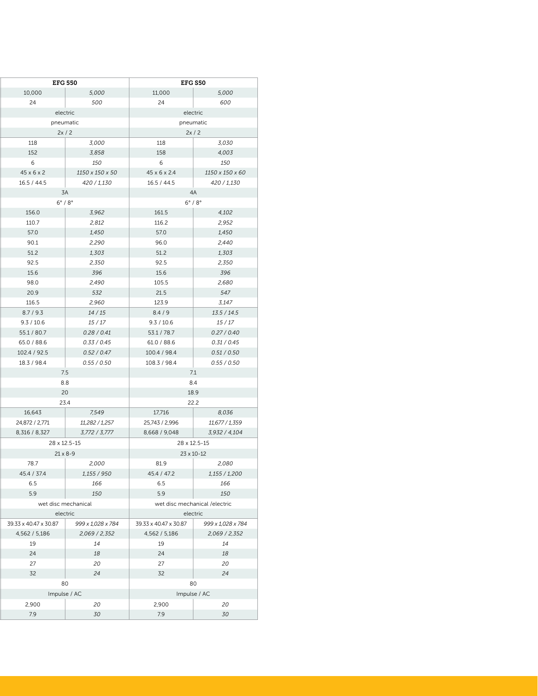|                        | <b>EFG 550</b>                |                       | <b>EFG S50</b>                |  |  |
|------------------------|-------------------------------|-----------------------|-------------------------------|--|--|
| 10,000                 | 5,000                         | 11,000                | 5,000                         |  |  |
| 24                     | 500                           | 24                    | 600                           |  |  |
|                        | electric<br>pneumatic<br>2x/2 |                       | electric                      |  |  |
|                        |                               |                       | pneumatic                     |  |  |
|                        |                               |                       | 2x/2                          |  |  |
| 118                    | 3,000                         | 118                   | 3,030                         |  |  |
| 152                    | 3,858                         | 158                   | 4,003                         |  |  |
| 6                      | 150                           | 6                     | 150                           |  |  |
| $45 \times 6 \times 2$ | 1150 x 150 x 50               | 45 x 6 x 2.4          | 1150 x 150 x 60               |  |  |
| 16.5 / 44.5            | 420 / 1,130                   | 16.5 / 44.5           | 420 / 1,130                   |  |  |
|                        | 3A                            |                       | 4A                            |  |  |
|                        | $6^{\circ}$ / $8^{\circ}$     |                       | $6^{\circ}$ / $8^{\circ}$     |  |  |
| 156.0                  | 3,962                         | 161.5                 | 4,102                         |  |  |
| 110.7                  | 2,812                         | 116.2                 | 2,952                         |  |  |
| 57.0                   | 1,450                         | 57.0                  | 1,450                         |  |  |
| 90.1                   | 2,290                         | 96.0                  | 2,440                         |  |  |
| 51.2                   | 1,303                         | 51.2                  | 1,303                         |  |  |
| 92.5                   | 2,350                         | 92.5                  | 2,350                         |  |  |
| 15.6                   | 396                           | 15.6                  | 396                           |  |  |
| 98.0                   | 2,490                         | 105.5                 | 2,680                         |  |  |
| 20.9                   | 532                           | 21.5                  | 547                           |  |  |
| 116.5                  | 2,960                         | 123.9                 | 3,147                         |  |  |
| 8.7 / 9.3              | 14/15                         | 8.4 / 9               | 13.5 / 14.5                   |  |  |
| 9.3 / 10.6             | 15/17                         | 9.3 / 10.6            | $15/17$                       |  |  |
| 55.1 / 80.7            | 0.28 / 0.41                   | 53.1 / 78.7           | 0.27 / 0.40                   |  |  |
| 65.0 / 88.6            | 0.33 / 0.45                   | 61.0 / 88.6           | 0.31 / 0.45                   |  |  |
| 102.4 / 92.5           | 0.52 / 0.47                   | 100.4 / 98.4          | 0.51 / 0.50                   |  |  |
| 18.3 / 98.4            | 0.55/0.50                     | 108.3 / 98.4          | 0.55 / 0.50                   |  |  |
|                        | 7.5                           |                       | 7.1                           |  |  |
|                        | 8.8                           |                       | 8.4                           |  |  |
|                        | 20                            |                       | 18.9                          |  |  |
|                        | 23.4                          |                       | 22.2                          |  |  |
| 16,643                 | 7,549                         | 17,716                | 8,036                         |  |  |
| 24,872 / 2,771         | 11,282 / 1,257                | 25,743 / 2,996        | 11,677 / 1,359                |  |  |
| 8,316 / 8,327          | 3,772/3,777                   | 8,668 / 9,048         | 3,932 / 4,104                 |  |  |
|                        | 28 x 12.5-15                  |                       | 28 x 12.5-15                  |  |  |
|                        | $21 \times 8 - 9$             |                       | $23 \times 10 - 12$           |  |  |
| 78.7                   | 2,000                         | 81.9                  | 2,080                         |  |  |
| 45.4 / 37.4            | 1,155 / 950                   | 45.4 / 47.2           | 1,155 / 1,200                 |  |  |
| 6.5                    | 166                           | 6.5                   | 166                           |  |  |
| 5.9                    | 150                           | 5.9                   | 150                           |  |  |
|                        | wet disc mechanical           |                       | wet disc mechanical /electric |  |  |
|                        | electric                      |                       | electric                      |  |  |
| 39.33 x 40.47 x 30.87  | 999 x 1,028 x 784             | 39.33 x 40.47 x 30.87 | 999 x 1,028 x 784             |  |  |
| 4,562 / 5,186          | 2,069 / 2,352                 | 4,562 / 5,186         | 2,069 / 2,352                 |  |  |
| 19                     | 14                            | 19                    | 14                            |  |  |
| 24                     | 18                            | 24                    | 18                            |  |  |
| 27                     | 20                            | 27                    | 20                            |  |  |
| 32                     | 24                            | 32                    | 24                            |  |  |
|                        | 80                            |                       | 80                            |  |  |
|                        | Impulse / AC                  |                       | Impulse / AC                  |  |  |
| 2,900                  | 20                            | 2,900                 | 20                            |  |  |
| 7.9                    | 30                            | 7.9                   | 30                            |  |  |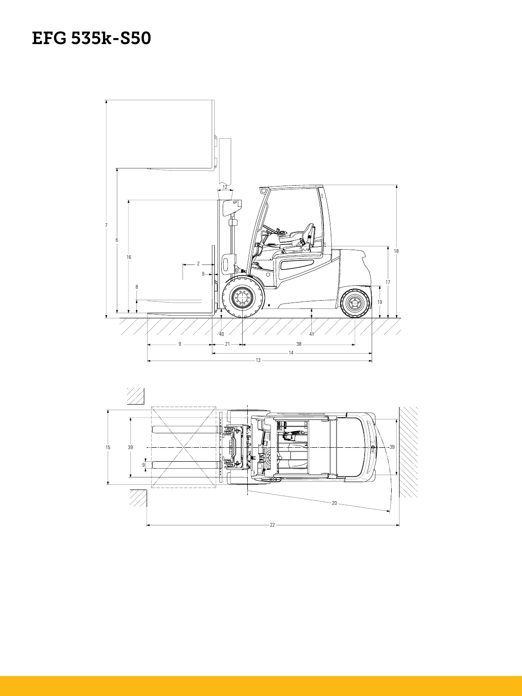### EFG 535k-S50



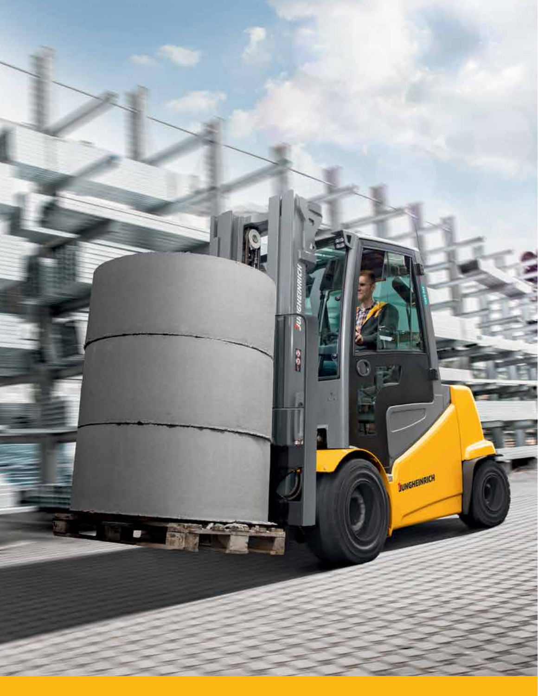